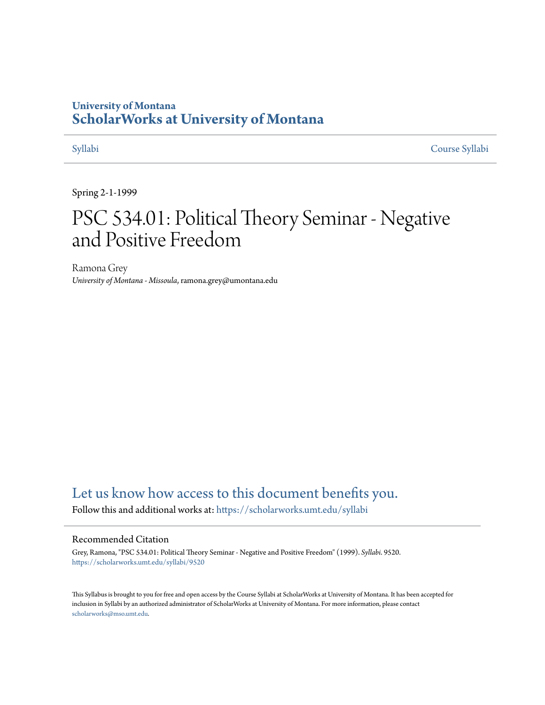# **University of Montana [ScholarWorks at University of Montana](https://scholarworks.umt.edu?utm_source=scholarworks.umt.edu%2Fsyllabi%2F9520&utm_medium=PDF&utm_campaign=PDFCoverPages)**

[Syllabi](https://scholarworks.umt.edu/syllabi?utm_source=scholarworks.umt.edu%2Fsyllabi%2F9520&utm_medium=PDF&utm_campaign=PDFCoverPages) [Course Syllabi](https://scholarworks.umt.edu/course_syllabi?utm_source=scholarworks.umt.edu%2Fsyllabi%2F9520&utm_medium=PDF&utm_campaign=PDFCoverPages)

Spring 2-1-1999

# PSC 534.01: Political Theory Seminar - Negative and Positive Freedom

Ramona Grey *University of Montana - Missoula*, ramona.grey@umontana.edu

# [Let us know how access to this document benefits you.](https://goo.gl/forms/s2rGfXOLzz71qgsB2)

Follow this and additional works at: [https://scholarworks.umt.edu/syllabi](https://scholarworks.umt.edu/syllabi?utm_source=scholarworks.umt.edu%2Fsyllabi%2F9520&utm_medium=PDF&utm_campaign=PDFCoverPages)

#### Recommended Citation

Grey, Ramona, "PSC 534.01: Political Theory Seminar - Negative and Positive Freedom" (1999). *Syllabi*. 9520. [https://scholarworks.umt.edu/syllabi/9520](https://scholarworks.umt.edu/syllabi/9520?utm_source=scholarworks.umt.edu%2Fsyllabi%2F9520&utm_medium=PDF&utm_campaign=PDFCoverPages)

This Syllabus is brought to you for free and open access by the Course Syllabi at ScholarWorks at University of Montana. It has been accepted for inclusion in Syllabi by an authorized administrator of ScholarWorks at University of Montana. For more information, please contact [scholarworks@mso.umt.edu](mailto:scholarworks@mso.umt.edu).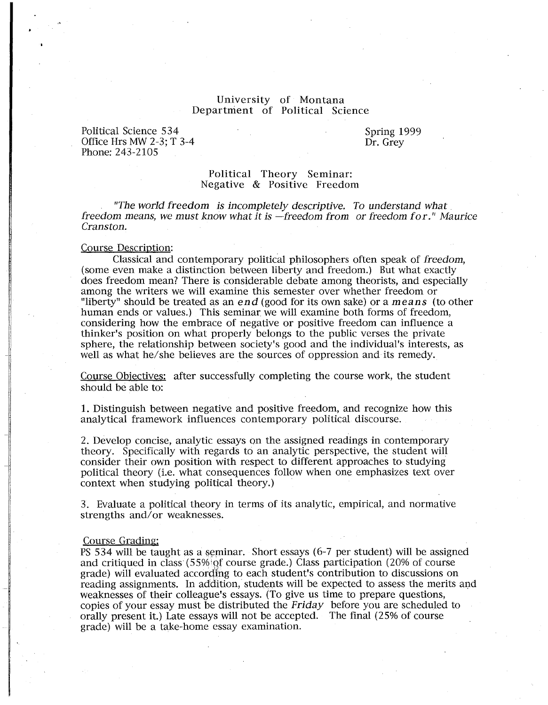### University of Montana Department of Political Science

Political Science 534 Office Hrs MW 2-3; T 3-4 Phone: 243-2105

Spring 1999 Dr. Grey

#### Political Theory Seminar: Negative & Positive Freedom

"The world freedom is incompletely descriptive. To understand what freedom means, we must know what it is  $-$ freedom from or freedom for." Maurice Cranston.

#### Course Description:

Classical and contemporary political philosophers often speak of freedom, (some even make a distinction between liberty and freedom.) But what exactly does freedom mean? There is considerable debate among theorists, and especially among the writers we will examine this semester over whether freedom or "liberty" should be treated as an end (good for its own sake) or a means (to other human ends or values.) This seminar we will examine both forms of freedom, considering how the embrace of negative or positive freedom can influence a thinker's position on what properly belongs to the public verses the private sphere, the relationship between society's good and the individual's interests, as well as what he/she believes are the sources of oppression and its remedy.

Course Objectives: after successfully completing the course work, the student should be able to:

1. Distinguish between negative and positive freedom, and recognize how this analytical framework influences contemporary political discourse.

2. Develop concise, analytic essays on the assigned readings in contemporary theory. Specifically with regards to an analytic perspective, the student will consider their own position with respect to different approaches to studying political theory (i.e. what consequences follow when one emphasizes text over context when studying political theory.)

3. Evaluate a political theory in terms of its analytic, empirical, and normative strengths and/or weaknesses.

#### Course Grading:

PS 534 will be taught as a seminar. Short essays (6-7 per student) will be assigned and critiqued in class (55%'Qf course grade.) Class participation (20% of course grade) will evaluated according to each student's contribution to discussions on reading assignments. In addition, students will be expected to assess the merits and weaknesses of their colleague's essays. (To give us time to prepare questions, copies of your essay must be distributed the Friday before you are scheduled to orally present it.) Late essays will not be accepted. The final (25% of course grade) will be a take-home essay examination.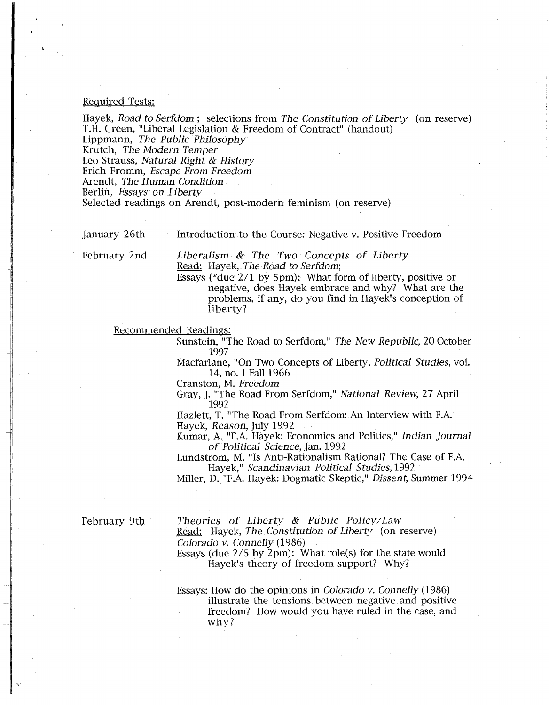#### Required Tests:

Hayek, Road to Serfdom; selections from The Constitution of Liberty (on reserve) T.H. Green, "Liberal Legislation & Freedom of Contract" (handout) Lippmann, The Public Philosophy Krutch, The Modern Temper Leo Strauss, Natural Right & History Erich Fromm, Escape From Freedom Arendt, The Human Condition Berlin, Essays on Liberty

Selected readings on Arendt, post-modern feminism (on reserve)

January 26th Introduction to the Course: Negative v. Positive Freedom

February 2nd

Liberalism & The Two Concepts of Liberty Read: Hayek, The Road to Serfdom;

Essays (\*due 2/1 by Spm): What form of liberty, positive or negative, does Hayek embrace and why? What are the problems, if any, do you find in Hayek's conception of liberty?

Recommended Readings:

Sunstein, "The Road to Serfdom," The New Republic, 20 October 1997

Macfarlane, "On Two Concepts of Liberty, Political Studies, vol. 14, no. 1 Fall 1966

Cranston, M. Freedom

Gray, J. "The Road From Serfdom," National Review, 27 April 1992

Hazlett, T. "The Road From Serfdom: An Interview with F.A. Hayek, Reason, July 1992

Kumar, A. "F.A. Hayek: Economics and Politics," Indian journal of Political Science, Jan. 1992

Lundstrom, M. "ls Anti-Rationalism Rational? The Case of F.A. Hayek," Scandinavian Political Studies, 1992

Miller, D."F.A. Hayek: Dogmatic Skeptic," Dissent, Summer 1994

February 9th

.·

Theories of Liberty & Public Policy/Law

Read: Hayek, The Constitution of Liberty (on reserve) Colorado v. Connelly (1986)

Essays (due 2/5 by 2pm): What role(s) for the state would Hayek's theory of freedom support? Why?

Essays: How do the opinions in Colorado v. Connelly (1986) illustrate the tensions between negative and positive freedom? How would you have ruled in the case, and why?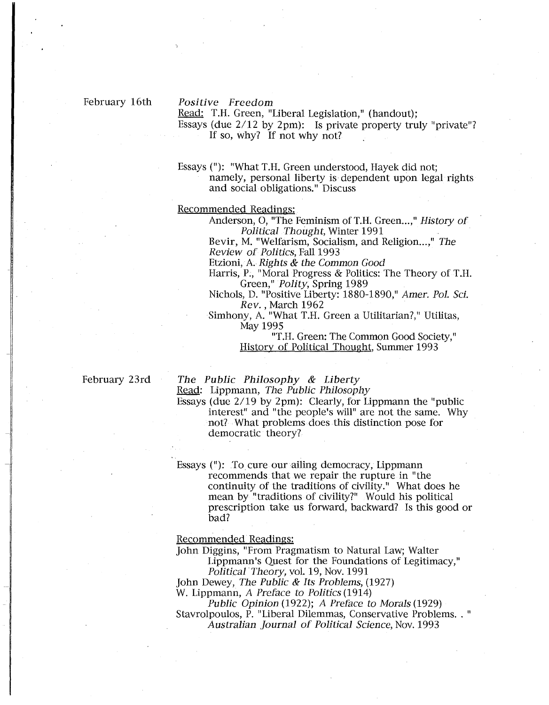#### February 16th

#### Positive Freedom

Read: T.H. Green, "Liberal Legislation," (handout); Essays (due 2/12 by 2pm): Is private property truly "private"? If so, why? If not why not?

Essays("): "What T.H. Green understood, Hayek did not; namely, personal liberty is dependent upon legal rights and social obligations." Discuss

Recommended Readings:

Anderson, O, "The Feminism of T.H. Green...," History of Political Thought, Winter 1991

Bevir, M. "Welfarism, Socialism, and Religion...," The Review of Politics, Fall 1993

Etzioni, A. Rights & the Common Good

Harris, P., "Moral Progress & Politics: The Theory of T.H. Green," Polity, Spring 1989

Nichols, D. "Positive Liberty: 1880-1890," Amer. Pol. Sci. Rev. , March 1962

Simhony, A. "What T.H. Green a Utilitarian?," Utilitas, May 1995

> "T.H. Green: The Common Good Society," History of Political Thought, Summer 1993

February 23rd

The Public Philosophy & Liberty Read: Lippmann, The Public Philosophy

Essays (due 2/19 by 2pm): Clearly, for Lippmann the "public interest" and "the people's will" are not the same. Why not? What problems does this distinction pose for democratic theory?

Essays ("): To cure our ailing democracy, Lippmann recommends that we repair the rupture in "the continuity of the traditions of civility." What does he mean by "traditions of civility?" Would his political prescription take us forward, backward? Is this good or bad?

Recommended Readings:

John Diggins, "From Pragmatism to Natural Law; Walter Lippmann's Quest for the Foundations of Legitimacy," Political Theory, vol. 19, Nov. 1991

John Dewey, The Public & Its Problems, (1927)

W. Lippmann, A Preface to Politics (1914)

Public Opinion (1922); A Preface to Morals (1929) Stavrolpoulos, P. "Liberal Dilemmas, Conservative Problems. . " Australian journal of Political Science, Nov. 1993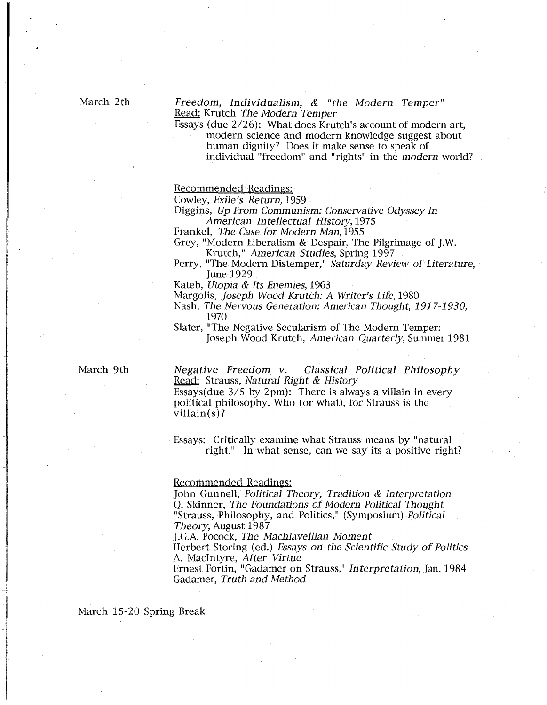March 2th

#### Freedom, Individualism, & "the Modern Temper" Read: Krutch The Modern Temper

Essays (due 2/26): What does Krutch's account of modern art, modern science and modern knowledge suggest about human dignity? Does it make sense to speak of individual "freedom" and "rights" in the modern world?

Recommended Readings:

Cowley, Exile's Return, 1959

Diggins, Up From Communism: Conservative Odyssey In American Intellectual History, 1975

Frankel, The Case for Modern Man, 1955

Grey, "Modern Liberalism & Despair, The Pilgrimage of J.W. Krutch," *American Studies*, Spring 1997

Perry, "The Modern Distemper," Saturday Review of Literature. June 1929

Kateb, Utopia & Its Enemies, 1963

Margolis, Joseph Wood Krutch: A Writer's Life, 1980

Nash, The Nervous Generation: American Thought, 1917-1930, 1970

Slater, "The Negative Secularism of The Modern Temper: Joseph Wood Krutch, American Quarterly, Summer 1981

March 9th

Negative Freedom. v. Classical Political Philosophy Read: Strauss, Natural Right & History

Essays(due  $3/5$  by 2pm): There is always a villain in every political philosophy. Who (or what), for Strauss is the villain(s)?

Essays: Critically examine what Strauss means by "natural right." In what sense, can we say its a positive right?

#### Recommended Readings:

John Gunnell, Political Theory, Tradition & Interpretation Q, Skinner, The Foundations of Modern Political Thought "Strauss, Philosophy, and Politics," (Symposium) Political Theory, August 1987

J.G.A. Pocock, The Machiavellian Moment

Herbert Storing (ed.) Essays on the Scientific Study of Politics A. Macintyre, After Virtue

Ernest Fortin, "Gadamer on Strauss," Interpretation, Jan. 1984 Gadamer, Truth and Method

March 15-20 Spring Break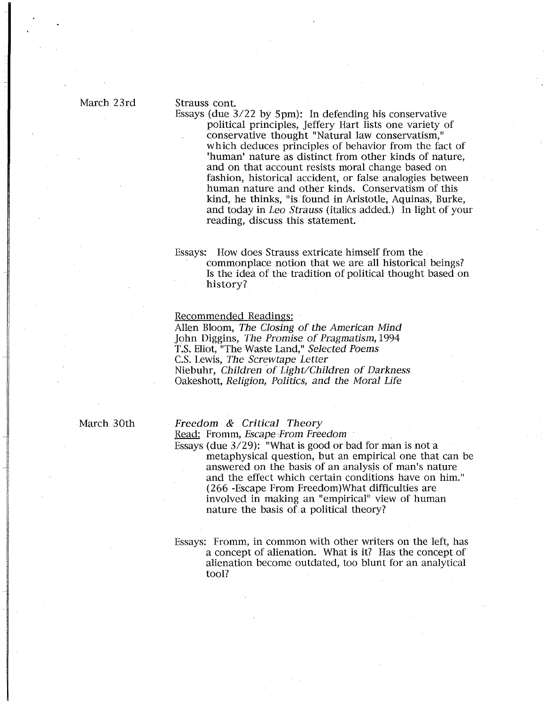#### Strauss cont.

Essays (due 3/22 by Spm): In defending his conservative political principles, Jeffery Hart lists one variety of conservative thought "Natural law conservatism," which deduces principles of behavior from the fact of 'human' nature as distinct from other kinds of nature, and on that account resists moral change based on fashion, historical accident, or false analogies between human nature and other kinds. Conservatism of this kind, he thinks, "is. found in Aristotle, Aquinas, Burke, and today in Leo Strauss (italics added.) In light of your reading, discuss this statement.

### Essays: How does Strauss extricate himself from the . commonplace notion that we are all historical beings? Is the idea of the tradition of political thought based on history?

#### Recommended Readings:

Allen Bloom, The Closing of the American Mind John Diggins, The Promise of Pragmatism, 1994 T.S. Eliot, "The Waste Land," Selected Poems C.S. Lewis, The Screwtape Letter Niebuhr, Children of Light/Children of Darkness Oakeshott, Religion, Politics, and the Moral Life

March 30th

1

# Freedom & Critical Theory

Read: Fromm, Escape From Freedom

Essays (due 3/29): "What is good or bad for man is not a metaphysical question, but an empirical one that can be answered on the basis of an analysis of man's nature and the effect which certain conditions have on him." (266 -Escape From Freedom)What difficulties are involved in making an "empirical" view of human nature the basis of a political theory?

Essays: Fromm, in common with other writers on the left, has a concept of alienation. What is it? Has the concept of alienation become outdated, too blunt for an analytical tool?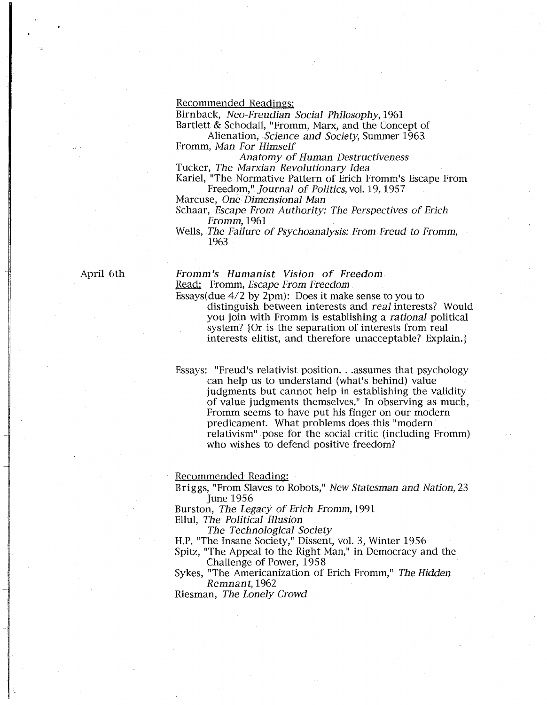#### Recommended Readings:

Birnback, Neo-Freudian Social Philosophy, 1961

Bartlett & Schodall, "Fromm, Marx, and the Concept of Alienation, *Science and Society*, Summer 1963

Fromm, Man For Himself

Anatomy of Human Destructiveness Tucker, The Marxian Revolutionary Idea

Kariel, "The Normative Pattern of Erich Fromm's Escape From

Freedom," Journal of Politics, vol. 19, 1957

Marcuse, One Dimensional Man

Schaar, Escape From Authority: The Perspectives of Erich Fromm, 1961

Wells, The Failure of Psychoanalysis: From Freud to Fromm, 1963

April 6th

Fromm's Humanist Vision of Freedom

Read: Fromm, *Escape From Freedom*.

Essays(due 4/2 by 2pm): Does it make sense to you to

distinguish between interests and real interests? Would you join with Fromm is establishing a rational political system? {Or is the separation of interests from real interests elitist, and therefore unacceptable? Explain.}

Essays: "Freud's relativist position. . .assumes that psychology can help us to understand (what's behind) value judgments but cannot help in establishing the validity of value judgments themselves." In observing as much, Fromm seems to have put his finger on our modern predicament. What problems does this "modern relativism" pose for the social critic (including Fromm) who wishes to defend positive freedom?

Recommended Reading:

Briggs, "From Slaves to Robots," New Statesman and Nation, 23 June 1956

Burston, The Legacy of Erich Fromm, 1991 Ellul, The Political Illusion

The Technological Society

H.P. "The Insane Society," Dissent, vol. 3, Winter 1956

Spitz, "The Appeal to the Right Man," in Democracy and the Challenge of Power, 1958

Sykes, "The Americanization of Erich Fromm," The Hidden Remnant, 1962

Riesman, The Lonely Crowd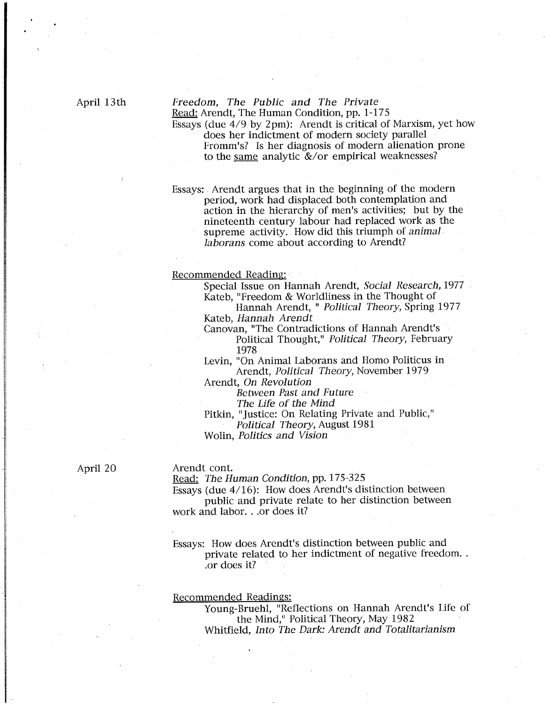## Freedom, The Public and The Private Read: Arendt, The Human Condition, pp. 1-175

Essays (due 4/9 by 2pm): Arendt is critical of Marxism, yet how does her indictment of modern society parallel Fromm's? Is her diagnosis of modern alienation prone to the same analytic &/or empirical weaknesses?

Essays: . Arendt argues that in the beginning of the modern period, work had displaced both contemplation and action in the hierarchy of men's activities; but by the nineteenth century labour had replaced work as the supreme activity. How did this triumph of animal laborans come about according to Arendt?

#### Recommended Reading:

Special Issue on Hannah Arendt, Social Research, 1977 Kateb, "Freedom & Worldliness in the Thought of

Hannah Arendt, " Political Theory, Spring 1977 Kateb, Hannah Arendt

Canovan, "The Contradictions of Hannah Arendt's Political Thought," Political Theory, February 1978

Levin, "On Animal Laborans and Homo Politicus in Arendt, Political Theory, November 1979

Arendt, On Revolution

Between Past and Future

The Life of the Mind

Pitkin, "Justice: On Relating Private and Public," Political Theory, August 1981

Wolin, Politics and Vision

April 20

#### Arendt cont.

Read: The Human Condition, pp. 175-325

Essays (due 4/16): How does Arendt's distinction between public and private relate to her distinction between work and labor. ..or does it?

Essays: How does Arendt's distinction between public and private related to her indictment of negative freedom .. .or does it?

#### Recommended Readings:

Young-Bruehl, "Reflections on Hannah Arendt's Life of the Mind," Political Theory, May 1982 Whitfield, Into The Dark: Arendt and Totalitarianism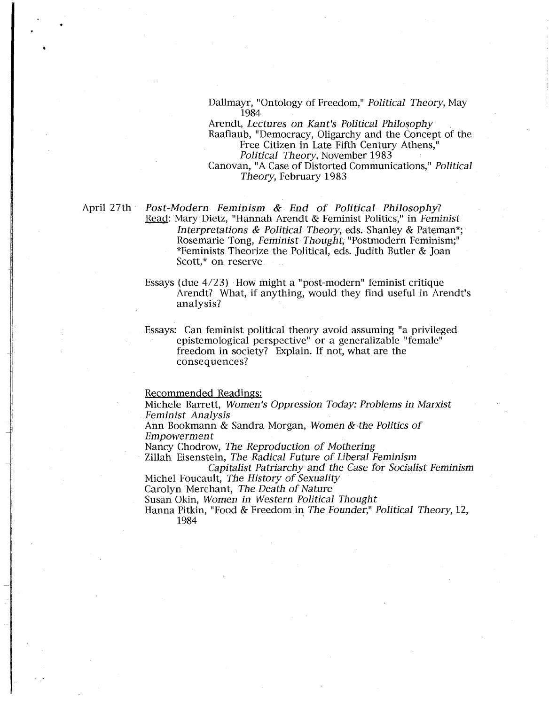Dallmayr, "Ontology of Freedom," Political Theory, May 1984

Arendt, Lectures on Kant's Political Philosophy Raaflaub, "Democracy, Oligarchy and the Concept of the Free Citizen in Late Fifth Century Athens," Political Theory, November 1983 Canovan, "A Case of Distorted Communications," Political Theory, February 1983

April 27th Post-Modern Feminism & End of Political Philosophy? Read: Mary Dietz, "Hannah Arendt & Feminist Politics," in Feminist Interpretations & Political Theory, eds. Shanley & Pateman\*; Rosemarie Tong, Feminist Thought, "Postmodern Feminism;" \*Feminists Theorize the Political, eds. Judith Butler & Joan Scott,\* on reserve

> Essays (due 4/23) How might a "post-modern" feminist critique Arendt? What, if anything, would they find useful in Arendt's analysis?

Essays: Can feminist political theory avoid assuming "a privileged epistemological perspective" or a generalizable "female" freedom in society? Explain. If not, what are the consequences?

Recommended Readings:

Michele Barrett, Women's Oppression Today: Problems in Marxist Feminist Analysis

Ann Bookmann & Sandra Morgan, Women & the Politics of Empowerment

Nancy Chodrow, The Reproduction of Mothering

Zillah Eisenstein, The Radical Future of Liberal Feminism

Capitalist Patriarchy and the Case for Socialist Feminism Michel Foucault, The History of Sexuality

Carolyn Merchant, The Death of Nature

Susan Okin, Women in Western Political Thought

Hanna Pitkin, "Food & Freedom in The Founder," Political Theory, 12, 1984 '